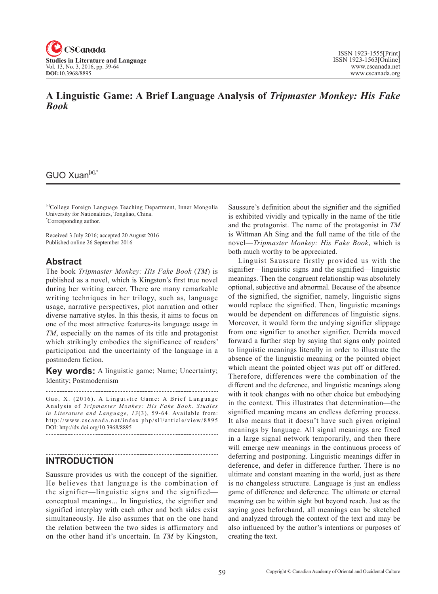

## **A Linguistic Game: A Brief Language Analysis of** *Tripmaster Monkey: His Fake Book*

## GUO Xuan<sup>[a],\*</sup>

[a]College Foreign Language Teaching Department, Inner Mongolia University for Nationalities, Tongliao, China. \* Corresponding author.

Received 3 July 2016; accepted 20 August 2016 Published online 26 September 2016

#### **Abstract**

The book *Tripmaster Monkey: His Fake Book* (*TM*) is published as a novel, which is Kingston's first true novel during her writing career. There are many remarkable writing techniques in her trilogy, such as, language usage, narrative perspectives, plot narration and other diverse narrative styles. In this thesis, it aims to focus on one of the most attractive features-its language usage in *TM*, especially on the names of its title and protagonist which strikingly embodies the significance of readers' participation and the uncertainty of the language in a postmodern fiction.

**Key words:** A linguistic game; Name; Uncertainty; Identity; Postmodernism

Guo, X. (2016). A Linguistic Game: A Brief Language Analysis of *Tripmaster Monkey: His Fake Book* . *Studies*  in Literature and Language, 13(3), 59-64. Available from: http://www.cscanada.net/index.php/sll/article/view/8895 DOI: http://dx.doi.org/10.3968/8895

## **INTRODUCTION**

Saussure provides us with the concept of the signifier. He believes that language is the combination of the signifier—linguistic signs and the signified conceptual meanings... In linguistics, the signifier and signified interplay with each other and both sides exist simultaneously. He also assumes that on the one hand the relation between the two sides is affirmatory and on the other hand it's uncertain. In *TM* by Kingston, Saussure's definition about the signifier and the signified is exhibited vividly and typically in the name of the title and the protagonist. The name of the protagonist in *TM* is Wittman Ah Sing and the full name of the title of the novel—*Tripmaster Monkey: His Fake Book*, which is both much worthy to be appreciated.

Linguist Saussure firstly provided us with the signifier—linguistic signs and the signified—linguistic meanings. Then the congruent relationship was absolutely optional, subjective and abnormal. Because of the absence of the signified, the signifier, namely, linguistic signs would replace the signified. Then, linguistic meanings would be dependent on differences of linguistic signs. Moreover, it would form the undying signifier slippage from one signifier to another signifier. Derrida moved forward a further step by saying that signs only pointed to linguistic meanings literally in order to illustrate the absence of the linguistic meaning or the pointed object which meant the pointed object was put off or differed. Therefore, differences were the combination of the different and the deference, and linguistic meanings along with it took changes with no other choice but embodying in the context. This illustrates that determination—the signified meaning means an endless deferring process. It also means that it doesn't have such given original meanings by language. All signal meanings are fixed in a large signal network temporarily, and then there will emerge new meanings in the continuous process of deferring and postponing. Linguistic meanings differ in deference, and defer in difference further. There is no ultimate and constant meaning in the world, just as there is no changeless structure. Language is just an endless game of difference and deference. The ultimate or eternal meaning can be within sight but beyond reach. Just as the saying goes beforehand, all meanings can be sketched and analyzed through the context of the text and may be also influenced by the author's intentions or purposes of creating the text.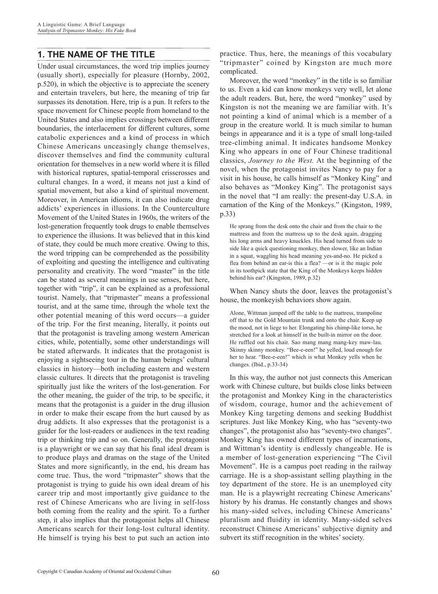# **1. THE NAME OF THE TITLE**

Under usual circumstances, the word trip implies journey (usually short), especially for pleasure (Hornby, 2002, p.520), in which the objective is to appreciate the scenery and entertain travelers, but here, the meaning of trip far surpasses its denotation. Here, trip is a pun. It refers to the space movement for Chinese people from homeland to the United States and also implies crossings between different boundaries, the interlacement for different cultures, some catabolic experiences and a kind of process in which Chinese Americans unceasingly change themselves, discover themselves and find the community cultural orientation for themselves in a new world where it is filled with historical ruptures, spatial-temporal crisscrosses and cultural changes. In a word, it means not just a kind of spatial movement, but also a kind of spiritual movement. Moreover, in American idioms, it can also indicate drug addicts' experiences in illusions. In the Counterculture Movement of the United States in 1960s, the writers of the lost-generation frequently took drugs to enable themselves to experience the illusions. It was believed that in this kind of state, they could be much more creative. Owing to this, the word tripping can be comprehended as the possibility of exploiting and questing the intelligence and cultivating personality and creativity. The word "master" in the title can be stated as several meanings in use senses, but here, together with "trip", it can be explained as a professional tourist. Namely, that "tripmaster" means a professional tourist, and at the same time, through the whole text the other potential meaning of this word occurs—a guider of the trip. For the first meaning, literally, it points out that the protagonist is traveling among western American cities, while, potentially, some other understandings will be stated afterwards. It indicates that the protagonist is enjoying a sightseeing tour in the human beings' cultural classics in history—both including eastern and western classic cultures. It directs that the protagonist is traveling spiritually just like the writers of the lost-generation. For the other meaning, the guider of the trip, to be specific, it means that the protagonist is a guider in the drug illusion in order to make their escape from the hurt caused by as drug addicts. It also expresses that the protagonist is a guider for the lost-readers or audiences in the text reading trip or thinking trip and so on. Generally, the protagonist is a playwright or we can say that his final ideal dream is to produce plays and dramas on the stage of the United States and more significantly, in the end, his dream has come true. Thus, the word "tripmaster" shows that the protagonist is trying to guide his own ideal dream of his career trip and most importantly give guidance to the rest of Chinese Americans who are living in self-loss both coming from the reality and the spirit. To a further step, it also implies that the protagonist helps all Chinese Americans search for their long-lost cultural identity. He himself is trying his best to put such an action into

practice. Thus, here, the meanings of this vocabulary "tripmaster" coined by Kingston are much more complicated.

Moreover, the word "monkey" in the title is so familiar to us. Even a kid can know monkeys very well, let alone the adult readers. But, here, the word "monkey" used by Kingston is not the meaning we are familiar with. It's not pointing a kind of animal which is a member of a group in the creature world. It is much similar to human beings in appearance and it is a type of small long-tailed tree-climbing animal. It indicates handsome Monkey King who appears in one of Four Chinese traditional classics, *Journey to the West.* At the beginning of the novel, when the protagonist invites Nancy to pay for a visit in his house, he calls himself as "Monkey King" and also behaves as "Monkey King". The protagonist says in the novel that "I am really: the present-day U.S.A. in carnation of the King of the Monkeys." (Kingston, 1989, p.33)

He sprang from the desk onto the chair and from the chair to the mattress and from the mattress up to the desk again, dragging his long arms and heavy knuckles. His head turned from side to side like a quick questioning monkey, then slower, like an Indian in a squat, waggling his head meaning yes-and-no. He picked a flea from behind an ear-is this a flea? —or is it the magic pole in its toothpick state that the King of the Monkeys keeps hidden behind his ear? (Kingston, 1989, p.32)

When Nancy shuts the door, leaves the protagonist's house, the monkeyish behaviors show again.

Alone, Wittman jumped off the table to the mattress, trampoline off that to the Gold Mountain trunk and onto the chair. Keep up the mood, not in liege to her. Elongating his chimp-like torso, he stretched for a look at himself in the built-in mirror on the door. He ruffled out his chair. Sao mang mang mang-key maw-lau. Skinny skinny monkey. "Bee-e-een!" he yelled, loud enough for her to hear. "Bee-e-een!" which is what Monkey yells when he changes. (Ibid., p.33-34)

In this way, the author not just connects this American work with Chinese culture, but builds close links between the protagonist and Monkey King in the characteristics of wisdom, courage, humor and the achievement of Monkey King targeting demons and seeking Buddhist scriptures. Just like Monkey King, who has "seventy-two changes", the protagonist also has "seventy-two changes". Monkey King has owned different types of incarnations, and Wittman's identity is endlessly changeable. He is a member of lost-generation experiencing "The Civil Movement". He is a campus poet reading in the railway carriage. He is a shop-assistant selling plaything in the toy department of the store. He is an unemployed city man. He is a playwright recreating Chinese Americans' history by his dramas. He constantly changes and shows his many-sided selves, including Chinese Americans' pluralism and fluidity in identity. Many-sided selves reconstruct Chinese Americans' subjective dignity and subvert its stiff recognition in the whites' society.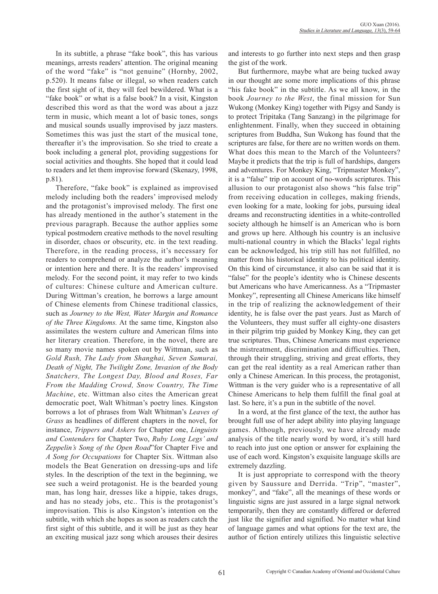In its subtitle, a phrase "fake book", this has various meanings, arrests readers' attention. The original meaning of the word "fake" is "not genuine" (Hornby, 2002, p.520). It means false or illegal, so when readers catch the first sight of it, they will feel bewildered. What is a "fake book" or what is a false book? In a visit, Kingston described this word as that the word was about a jazz term in music, which meant a lot of basic tones, songs and musical sounds usually improvised by jazz masters. Sometimes this was just the start of the musical tone, thereafter it's the improvisation. So she tried to create a book including a general plot, providing suggestions for social activities and thoughts. She hoped that it could lead to readers and let them improvise forward (Skenazy, 1998, p.81).

Therefore, "fake book" is explained as improvised melody including both the readers' improvised melody and the protagonist's improvised melody. The first one has already mentioned in the author's statement in the previous paragraph. Because the author applies some typical postmodern creative methods to the novel resulting in disorder, chaos or obscurity, etc. in the text reading. Therefore, in the reading process, it's necessary for readers to comprehend or analyze the author's meaning or intention here and there. It is the readers' improvised melody. For the second point, it may refer to two kinds of cultures: Chinese culture and American culture. During Wittman's creation, he borrows a large amount of Chinese elements from Chinese traditional classics, such as *Journey to the West, Water Margin and Romance of the Three Kingdoms.* At the same time, Kingston also assimilates the western culture and American films into her literary creation. Therefore, in the novel, there are so many movie names spoken out by Wittman, such as *Gold Rush, The Lady from Shanghai, Seven Samurai, Death of Night, The Twilight Zone, Invasion of the Body Snatchers, The Longest Day, Blood and Roses, Far From the Madding Crowd, Snow Country, The Time Machine*, etc. Wittman also cites the American great democratic poet, Walt Whitman's poetry lines. Kingston borrows a lot of phrases from Walt Whitman's *Leaves of Grass* as headlines of different chapters in the novel, for instance, *Trippers and Askers* for Chapter one, *Linguists and Contenders* for Chapter Two, *Ruby Long Legs' and Zeppelin's Song of the Open Road*"for Chapter Five and *A Song for Occupations* for Chapter Six. Wittman also models the Beat Generation on dressing-ups and life styles. In the description of the text in the beginning, we see such a weird protagonist. He is the bearded young man, has long hair, dresses like a hippie, takes drugs, and has no steady jobs, etc.. This is the protagonist's improvisation. This is also Kingston's intention on the subtitle, with which she hopes as soon as readers catch the first sight of this subtitle, and it will be just as they hear an exciting musical jazz song which arouses their desires and interests to go further into next steps and then grasp the gist of the work.

But furthermore, maybe what are being tucked away in our thought are some more implications of this phrase "his fake book" in the subtitle. As we all know, in the book *Journey to the West*, the final mission for Sun Wukong (Monkey King) together with Pigsy and Sandy is to protect Tripitaka (Tang Sanzang) in the pilgrimage for enlightenment. Finally, when they succeed in obtaining scriptures from Buddha, Sun Wukong has found that the scriptures are false, for there are no written words on them. What does this mean to the March of the Volunteers? Maybe it predicts that the trip is full of hardships, dangers and adventures. For Monkey King, "Tripmaster Monkey", it is a "false" trip on account of no-words scriptures. This allusion to our protagonist also shows "his false trip" from receiving education in colleges, making friends, even looking for a mate, looking for jobs, pursuing ideal dreams and reconstructing identities in a white-controlled society although he himself is an American who is born and grows up here. Although his country is an inclusive multi-national country in which the Blacks' legal rights can be acknowledged, his trip still has not fulfilled, no matter from his historical identity to his political identity. On this kind of circumstance, it also can be said that it is "false" for the people's identity who is Chinese descents but Americans who have Americanness. As a "Tripmaster Monkey", representing all Chinese Americans like himself in the trip of realizing the acknowledgement of their identity, he is false over the past years. Just as March of the Volunteers, they must suffer all eighty-one disasters in their pilgrim trip guided by Monkey King, they can get true scriptures. Thus, Chinese Americans must experience the mistreatment, discrimination and difficulties. Then, through their struggling, striving and great efforts, they can get the real identity as a real American rather than only a Chinese American. In this process, the protagonist, Wittman is the very guider who is a representative of all Chinese Americans to help them fulfill the final goal at last. So here, it's a pun in the subtitle of the novel.

In a word, at the first glance of the text, the author has brought full use of her adept ability into playing language games. Although, previously, we have already made analysis of the title nearly word by word, it's still hard to reach into just one option or answer for explaining the use of each word. Kingston's exquisite language skills are extremely dazzling.

It is just appropriate to correspond with the theory given by Saussure and Derrida. "Trip", "master", monkey", and "fake", all the meanings of these words or linguistic signs are just assured in a large signal network temporarily, then they are constantly differed or deferred just like the signifier and signified. No matter what kind of language games and what options for the text are, the author of fiction entirely utilizes this linguistic selective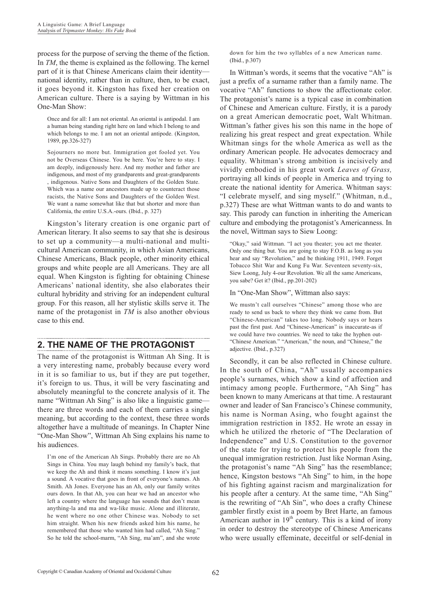process for the purpose of serving the theme of the fiction. In *TM*, the theme is explained as the following. The kernel part of it is that Chinese Americans claim their identity national identity, rather than in culture, then, to be exact, it goes beyond it. Kingston has fixed her creation on American culture. There is a saying by Wittman in his One-Man Show:

Once and for all: I am not oriental. An oriental is antipodal. I am a human being standing right here on land which I belong to and which belongs to me. I am not an oriental antipode. (Kingston, 1989, pp.326-327)

Sojourners no more but. Immigration got fooled yet. You not be Overseas Chinese. You be here. You're here to stay. I am deeply, indigenously here. And my mother and father are indigenous, and most of my grandparents and great-grandparents , indigenous. Native Sons and Daughters of the Golden State. Which was a name our ancestors made up to counteract those racists, the Native Sons and Daughters of the Golden West. We want a name somewhat like that but shorter and more than California, the entire U.S.A.-ours. (Ibid., p. 327)

Kingston's literary creation is one organic part of American literary. It also seems to say that she is desirous to set up a community—a multi-national and multicultural American community, in which Asian Americans, Chinese Americans, Black people, other minority ethical groups and white people are all Americans. They are all equal. When Kingston is fighting for obtaining Chinese Americans' national identity, she also elaborates their cultural hybridity and striving for an independent cultural group. For this reason, all her stylistic skills serve it. The name of the protagonist in *TM* is also another obvious case to this end.

### **2. THE NAME OF THE PROTAGONIST**

The name of the protagonist is Wittman Ah Sing. It is a very interesting name, probably because every word in it is so familiar to us, but if they are put together, it's foreign to us. Thus, it will be very fascinating and absolutely meaningful to the concrete analysis of it. The name "Wittman Ah Sing" is also like a linguistic game there are three words and each of them carries a single meaning, but according to the context, these three words altogether have a multitude of meanings. In Chapter Nine "One-Man Show", Wittman Ah Sing explains his name to his audiences.

I'm one of the American Ah Sings. Probably there are no Ah Sings in China. You may laugh behind my family's back, that we keep the Ah and think it means something. I know it's just a sound. A vocative that goes in front of everyone's names. Ah Smith. Ah Jones. Everyone has an Ah, only our family writes ours down. In that Ah, you can hear we had an ancestor who left a country where the language has sounds that don't mean anything-la and ma and wa-like music. Alone and illiterate, he went where no one other Chinese was. Nobody to set him straight. When his new friends asked him his name, he remembered that those who wanted him had called, "Ah Sing." So he told the school-marm, "Ah Sing, ma'am", and she wrote

down for him the two syllables of a new American name. (Ibid., p.307)

In Wittman's words, it seems that the vocative "Ah" is just a prefix of a surname rather than a family name. The vocative "Ah" functions to show the affectionate color. The protagonist's name is a typical case in combination of Chinese and American culture. Firstly, it is a parody on a great American democratic poet, Walt Whitman. Wittman's father gives his son this name in the hope of realizing his great respect and great expectation. While Whitman sings for the whole America as well as the ordinary American people. He advocates democracy and equality. Whitman's strong ambition is incisively and vividly embodied in his great work *Leaves of Grass,*  portraying all kinds of people in America and trying to create the national identity for America. Whitman says: "I celebrate myself, and sing myself." (Whitman, n.d., p.327) These are what Wittman wants to do and wants to say. This parody can function in inheriting the American culture and embodying the protagonist's Americanness. In the novel, Wittman says to Siew Loong:

"Okay," said Wittman. "I act you theater; you act me theater. Only one thing but. You are going to stay F.O.B. as long as you hear and say "Revolution," and be thinking 1911, 1949. Forget Tobacco Shit War and Kung Fu War. Seventeen seventy-six, Siew Loong, July 4-our Revolution. We all the same Americans, you sabe? Get it? (Ibid., pp.201-202)

In "One-Man Show", Wittman also says:

We mustn't call ourselves "Chinese" among those who are ready to send us back to where they think we came from. But "Chinese-American" takes too long. Nobody says or hears past the first past. And "Chinese-American" is inaccurate-as if we could have two countries. We need to take the hyphen out- "Chinese American." "American," the noun, and "Chinese," the adjective. (Ibid., p.327)

Secondly, it can be also reflected in Chinese culture. In the south of China, "Ah" usually accompanies people's surnames, which show a kind of affection and intimacy among people. Furthermore, "Ah Sing" has been known to many Americans at that time. A restaurant owner and leader of San Francisco's Chinese community, his name is Norman Asing, who fought against the immigration restriction in 1852. He wrote an essay in which he utilized the rhetoric of "The Declaration of Independence" and U.S. Constitution to the governor of the state for trying to protect his people from the unequal immigration restriction. Just like Norman Asing, the protagonist's name "Ah Sing" has the resemblance; hence, Kingston bestows "Ah Sing" to him, in the hope of his fighting against racism and marginalization for his people after a century. At the same time, "Ah Sing" is the rewriting of "Ah Sin", who does a crafty Chinese gambler firstly exist in a poem by Bret Harte, an famous American author in  $19<sup>th</sup>$  century. This is a kind of irony in order to destroy the stereotype of Chinese Americans who were usually effeminate, deceitful or self-denial in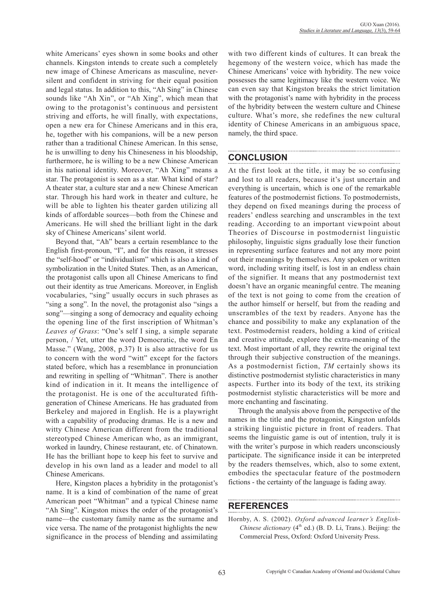white Americans' eyes shown in some books and other channels. Kingston intends to create such a completely new image of Chinese Americans as masculine, neversilent and confident in striving for their equal position and legal status. In addition to this, "Ah Sing" in Chinese sounds like "Ah Xin", or "Ah Xing", which mean that owing to the protagonist's continuous and persistent striving and efforts, he will finally, with expectations, open a new era for Chinese Americans and in this era, he, together with his companions, will be a new person rather than a traditional Chinese American. In this sense, he is unwilling to deny his Chineseness in his bloodship, furthermore, he is willing to be a new Chinese American in his national identity. Moreover, "Ah Xing" means a star. The protagonist is seen as a star. What kind of star? A theater star, a culture star and a new Chinese American star. Through his hard work in theater and culture, he will be able to lighten his theater garden utilizing all kinds of affordable sources—both from the Chinese and Americans. He will shed the brilliant light in the dark sky of Chinese Americans' silent world.

Beyond that, "Ah" bears a certain resemblance to the English first-pronoun, "I", and for this reason, it stresses the "self-hood" or "individualism" which is also a kind of symbolization in the United States. Then, as an American, the protagonist calls upon all Chinese Americans to find out their identity as true Americans. Moreover, in English vocabularies, "sing" usually occurs in such phrases as "sing a song". In the novel, the protagonist also "sings a song"—singing a song of democracy and equality echoing the opening line of the first inscription of Whitman's *Leaves of Grass*: "One's self I sing, a simple separate person, / Yet, utter the word Democratic, the word En Masse." (Wang, 2008, p.37) It is also attractive for us to concern with the word "witt" except for the factors stated before, which has a resemblance in pronunciation and rewriting in spelling of "Whitman". There is another kind of indication in it. It means the intelligence of the protagonist. He is one of the acculturated fifthgeneration of Chinese Americans. He has graduated from Berkeley and majored in English. He is a playwright with a capability of producing dramas. He is a new and witty Chinese American different from the traditional stereotyped Chinese American who, as an immigrant, worked in laundry, Chinese restaurant, etc. of Chinatown. He has the brilliant hope to keep his feet to survive and develop in his own land as a leader and model to all Chinese Americans.

Here, Kingston places a hybridity in the protagonist's name. It is a kind of combination of the name of great American poet "Whitman" and a typical Chinese name "Ah Sing". Kingston mixes the order of the protagonist's name—the customary family name as the surname and vice versa. The name of the protagonist highlights the new significance in the process of blending and assimilating

with two different kinds of cultures. It can break the hegemony of the western voice, which has made the Chinese Americans' voice with hybridity. The new voice possesses the same legitimacy like the western voice. We can even say that Kingston breaks the strict limitation with the protagonist's name with hybridity in the process of the hybridity between the western culture and Chinese culture. What's more, she redefines the new cultural identity of Chinese Americans in an ambiguous space, namely, the third space.

## **CONCLUSION**

At the first look at the title, it may be so confusing and lost to all readers, because it's just uncertain and everything is uncertain, which is one of the remarkable features of the postmodernist fictions. To postmodernists, they depend on fixed meanings during the process of readers' endless searching and unscrambles in the text reading. According to an important viewpoint about Theories of Discourse in postmodernist linguistic philosophy, linguistic signs gradually lose their function in representing surface features and not any more point out their meanings by themselves. Any spoken or written word, including writing itself, is lost in an endless chain of the signifier. It means that any postmodernist text doesn't have an organic meaningful centre. The meaning of the text is not going to come from the creation of the author himself or herself, but from the reading and unscrambles of the text by readers. Anyone has the chance and possibility to make any explanation of the text. Postmodernist readers, holding a kind of critical and creative attitude, explore the extra-meaning of the text. Most important of all, they rewrite the original text through their subjective construction of the meanings. As a postmodernist fiction, *TM* certainly shows its distinctive postmodernist stylistic characteristics in many aspects. Further into its body of the text, its striking postmodernist stylistic characteristics will be more and more enchanting and fascinating.

Through the analysis above from the perspective of the names in the title and the protagonist, Kingston unfolds a striking linguistic picture in front of readers. That seems the linguistic game is out of intention, truly it is with the writer's purpose in which readers unconsciously participate. The significance inside it can be interpreted by the readers themselves, which, also to some extent, embodies the spectacular feature of the postmodern fictions - the certainty of the language is fading away.

### **REFERENCES**

Hornby, A. S. (2002). *Oxford advanced learner's English-Chinese dictionary*  $(4<sup>th</sup>$  ed.) (B. D. Li, Trans.). Beijing: the Commercial Press, Oxford: Oxford University Press.